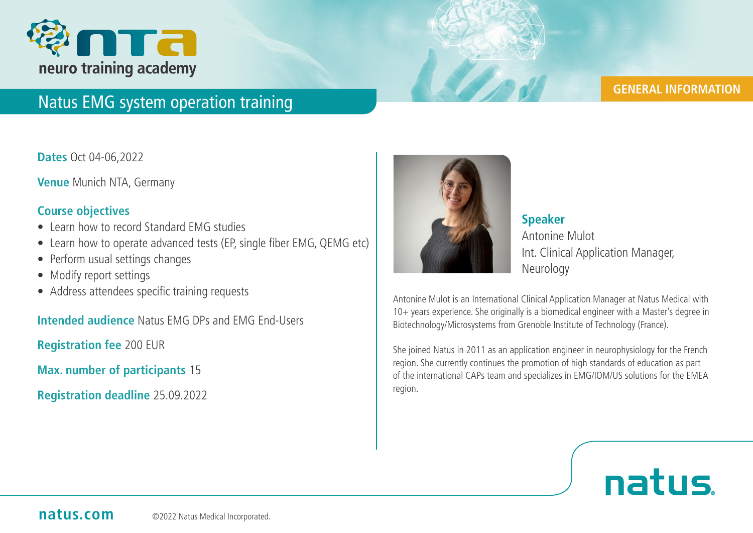

# Natus EMG system operation training

## **GENERAL INFORMATION**

**Dates** Oct 04-06,2022

**Venue** Munich NTA, Germany

## **Course objectives**

- Learn how to record Standard EMG studies
- Learn how to operate advanced tests (EP, single fiber EMG, QEMG etc)
- Perform usual settings changes
- Modify report settings
- Address attendees specific training requests

**Intended audience** Natus EMG DPs and EMG End-Users

**Registration fee** 200 EUR

**Max. number of participants** 15

**Registration deadline** 25.09.2022



 **Speaker** Antonine Mulot Int. Clinical Application Manager, **Neurology** 

Antonine Mulot is an International Clinical Application Manager at Natus Medical with 10+ years experience. She originally is a biomedical engineer with a Master's degree in Biotechnology/Microsystems from Grenoble Institute of Technology (France).

She joined Natus in 2011 as an application engineer in neurophysiology for the French region. She currently continues the promotion of high standards of education as part of the international CAPs team and specializes in EMG/IOM/US solutions for the EMEA region.

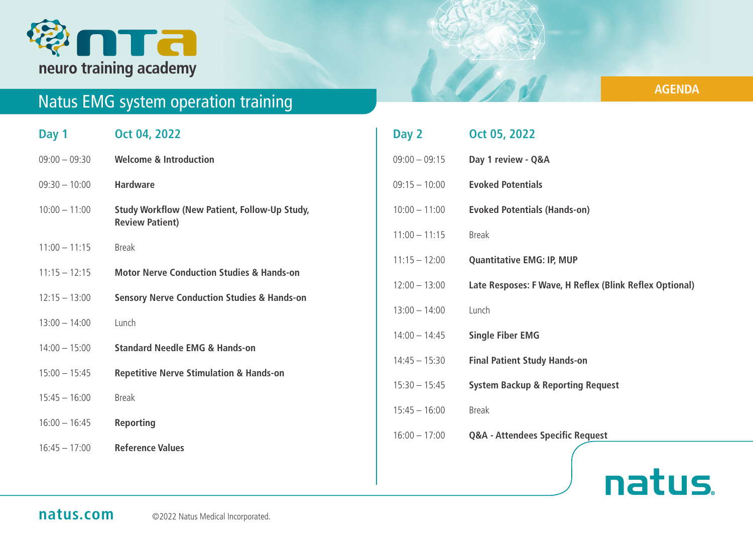

# Natus EMG system operation training

| Day 1           | Oct 04, 2022                                                                   |
|-----------------|--------------------------------------------------------------------------------|
| $09:00 - 09:30$ | <b>Welcome &amp; Introduction</b>                                              |
| $09:30 - 10:00$ | <b>Hardware</b>                                                                |
| $10:00 - 11:00$ | <b>Study Workflow (New Patient, Follow-Up Study,</b><br><b>Review Patient)</b> |
| $11:00 - 11:15$ | <b>Break</b>                                                                   |
| $11:15 - 12:15$ | <b>Motor Nerve Conduction Studies &amp; Hands-on</b>                           |
| $12:15 - 13:00$ | <b>Sensory Nerve Conduction Studies &amp; Hands-on</b>                         |
| $13:00 - 14:00$ | Lunch                                                                          |
| $14:00 - 15:00$ | <b>Standard Needle EMG &amp; Hands-on</b>                                      |
| $15:00 - 15:45$ | <b>Repetitive Nerve Stimulation &amp; Hands-on</b>                             |
| $15:45 - 16:00$ | <b>Break</b>                                                                   |
| $16:00 - 16:45$ | <b>Reporting</b>                                                               |
| $16:45 - 17:00$ | <b>Reference Values</b>                                                        |

| Day 2           | Oct 05, 2022                                            |
|-----------------|---------------------------------------------------------|
| $09:00 - 09:15$ | Day 1 review - Q&A                                      |
| $09:15 - 10:00$ | <b>Evoked Potentials</b>                                |
| $10:00 - 11:00$ | <b>Evoked Potentials (Hands-on)</b>                     |
| $11:00 - 11:15$ | <b>Break</b>                                            |
| $11:15 - 12:00$ | <b>Quantitative EMG: IP, MUP</b>                        |
| $12:00 - 13:00$ | Late Resposes: F Wave, H Reflex (Blink Reflex Optional) |
| $13:00 - 14:00$ | Lunch                                                   |
| $14:00 - 14:45$ | <b>Single Fiber EMG</b>                                 |
| $14:45 - 15:30$ | <b>Final Patient Study Hands-on</b>                     |
| $15:30 - 15:45$ | <b>System Backup &amp; Reporting Request</b>            |
| $15:45 - 16:00$ | <b>Break</b>                                            |
| $16:00 - 17:00$ | <b>Q&amp;A - Attendees Specific Request</b>             |
|                 |                                                         |

# natus.

## **AGENDA**